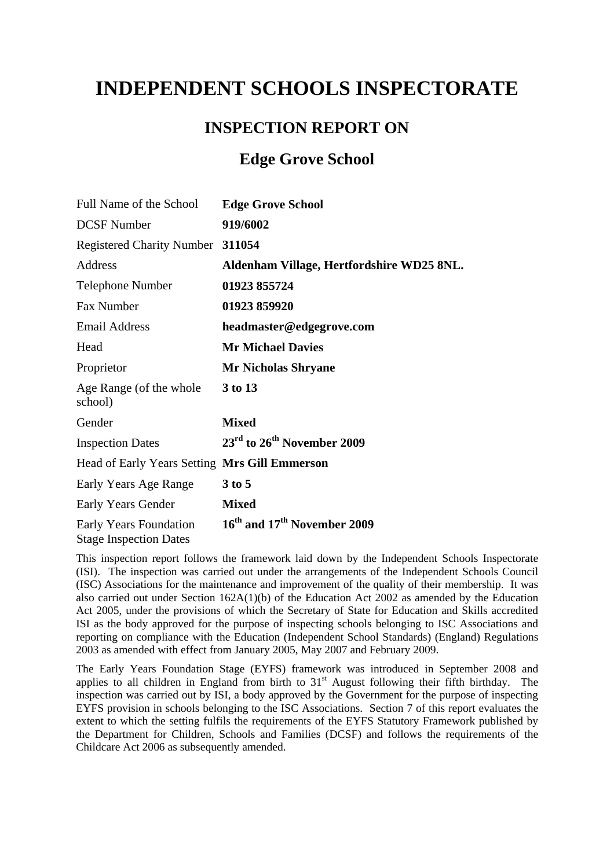# **INDEPENDENT SCHOOLS INSPECTORATE**

# **INSPECTION REPORT ON**

# **Edge Grove School**

| Full Name of the School                                 | <b>Edge Grove School</b>                            |
|---------------------------------------------------------|-----------------------------------------------------|
| <b>DCSF</b> Number                                      | 919/6002                                            |
| <b>Registered Charity Number</b>                        | 311054                                              |
| Address                                                 | Aldenham Village, Hertfordshire WD25 8NL.           |
| <b>Telephone Number</b>                                 | 01923 855724                                        |
| Fax Number                                              | 01923 859920                                        |
| <b>Email Address</b>                                    | headmaster@edgegrove.com                            |
| Head                                                    | <b>Mr Michael Davies</b>                            |
| Proprietor                                              | <b>Mr Nicholas Shryane</b>                          |
| Age Range (of the whole<br>school)                      | 3 to 13                                             |
| Gender                                                  | <b>Mixed</b>                                        |
| <b>Inspection Dates</b>                                 | 23 <sup>rd</sup> to 26 <sup>th</sup> November 2009  |
| Head of Early Years Setting Mrs Gill Emmerson           |                                                     |
| Early Years Age Range                                   | $3$ to 5                                            |
| Early Years Gender                                      | <b>Mixed</b>                                        |
| Early Years Foundation<br><b>Stage Inspection Dates</b> | 16 <sup>th</sup> and 17 <sup>th</sup> November 2009 |

This inspection report follows the framework laid down by the Independent Schools Inspectorate (ISI). The inspection was carried out under the arrangements of the Independent Schools Council (ISC) Associations for the maintenance and improvement of the quality of their membership. It was also carried out under Section 162A(1)(b) of the Education Act 2002 as amended by the Education Act 2005, under the provisions of which the Secretary of State for Education and Skills accredited ISI as the body approved for the purpose of inspecting schools belonging to ISC Associations and reporting on compliance with the Education (Independent School Standards) (England) Regulations 2003 as amended with effect from January 2005, May 2007 and February 2009.

The Early Years Foundation Stage (EYFS) framework was introduced in September 2008 and applies to all children in England from birth to  $31<sup>st</sup>$  August following their fifth birthday. The inspection was carried out by ISI, a body approved by the Government for the purpose of inspecting EYFS provision in schools belonging to the ISC Associations. Section 7 of this report evaluates the extent to which the setting fulfils the requirements of the EYFS Statutory Framework published by the Department for Children, Schools and Families (DCSF) and follows the requirements of the Childcare Act 2006 as subsequently amended.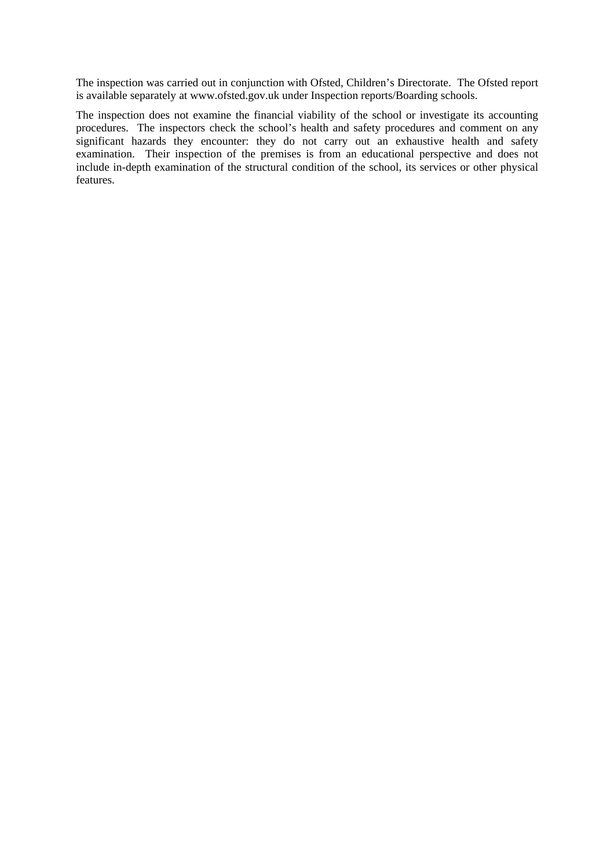The inspection was carried out in conjunction with Ofsted, Children's Directorate. The Ofsted report is available separately at [www.ofsted.gov.uk](http://www.ofsted.gov.uk/) under Inspection reports/Boarding schools.

The inspection does not examine the financial viability of the school or investigate its accounting procedures. The inspectors check the school's health and safety procedures and comment on any significant hazards they encounter: they do not carry out an exhaustive health and safety examination. Their inspection of the premises is from an educational perspective and does not include in-depth examination of the structural condition of the school, its services or other physical features.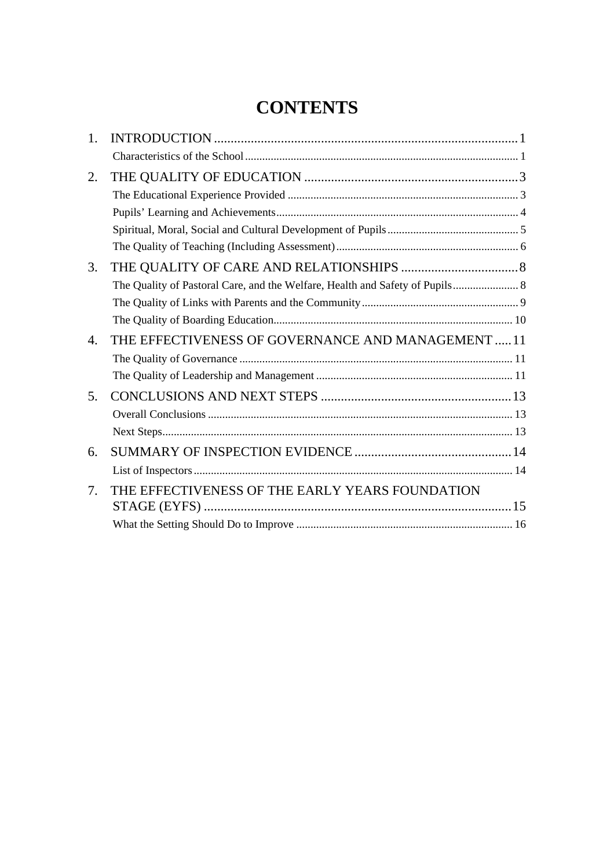# **CONTENTS**

| 1.             |                                                    |  |
|----------------|----------------------------------------------------|--|
|                |                                                    |  |
| 2.             |                                                    |  |
|                |                                                    |  |
|                |                                                    |  |
|                |                                                    |  |
|                |                                                    |  |
| 3.             |                                                    |  |
|                |                                                    |  |
|                |                                                    |  |
|                |                                                    |  |
| 4.             | THE EFFECTIVENESS OF GOVERNANCE AND MANAGEMENT  11 |  |
|                |                                                    |  |
|                |                                                    |  |
| 5.             |                                                    |  |
|                |                                                    |  |
|                |                                                    |  |
| 6.             |                                                    |  |
|                |                                                    |  |
| 7 <sub>1</sub> | THE EFFECTIVENESS OF THE EARLY YEARS FOUNDATION    |  |
|                |                                                    |  |
|                |                                                    |  |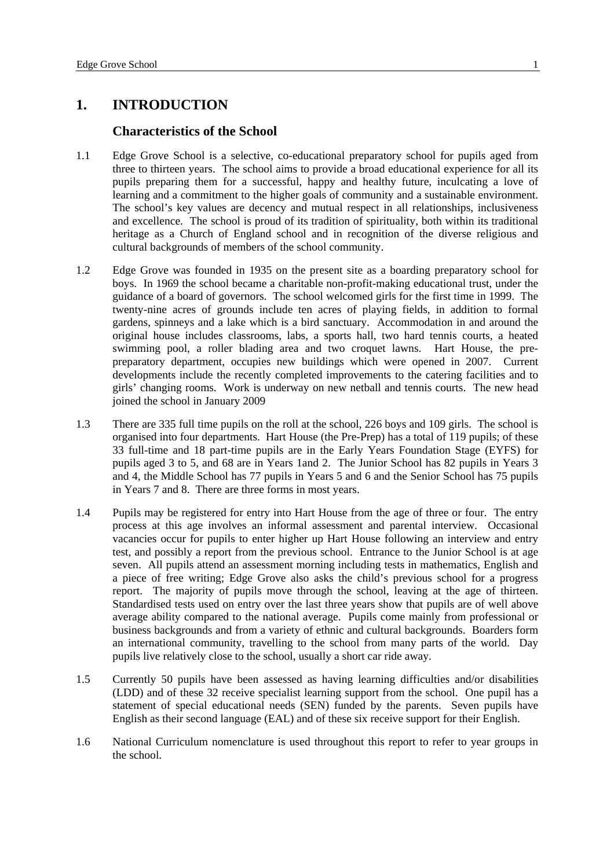## <span id="page-3-0"></span>**1. INTRODUCTION**

#### **Characteristics of the School**

- 1.1 Edge Grove School is a selective, co-educational preparatory school for pupils aged from three to thirteen years. The school aims to provide a broad educational experience for all its pupils preparing them for a successful, happy and healthy future, inculcating a love of learning and a commitment to the higher goals of community and a sustainable environment. The school's key values are decency and mutual respect in all relationships, inclusiveness and excellence. The school is proud of its tradition of spirituality, both within its traditional heritage as a Church of England school and in recognition of the diverse religious and cultural backgrounds of members of the school community.
- 1.2 Edge Grove was founded in 1935 on the present site as a boarding preparatory school for boys. In 1969 the school became a charitable non-profit-making educational trust, under the guidance of a board of governors. The school welcomed girls for the first time in 1999. The twenty-nine acres of grounds include ten acres of playing fields, in addition to formal gardens, spinneys and a lake which is a bird sanctuary. Accommodation in and around the original house includes classrooms, labs, a sports hall, two hard tennis courts, a heated swimming pool, a roller blading area and two croquet lawns. Hart House, the prepreparatory department, occupies new buildings which were opened in 2007. Current developments include the recently completed improvements to the catering facilities and to girls' changing rooms. Work is underway on new netball and tennis courts. The new head joined the school in January 2009
- 1.3 There are 335 full time pupils on the roll at the school, 226 boys and 109 girls. The school is organised into four departments. Hart House (the Pre-Prep) has a total of 119 pupils; of these 33 full-time and 18 part-time pupils are in the Early Years Foundation Stage (EYFS) for pupils aged 3 to 5, and 68 are in Years 1and 2. The Junior School has 82 pupils in Years 3 and 4, the Middle School has 77 pupils in Years 5 and 6 and the Senior School has 75 pupils in Years 7 and 8. There are three forms in most years.
- 1.4 Pupils may be registered for entry into Hart House from the age of three or four. The entry process at this age involves an informal assessment and parental interview. Occasional vacancies occur for pupils to enter higher up Hart House following an interview and entry test, and possibly a report from the previous school. Entrance to the Junior School is at age seven. All pupils attend an assessment morning including tests in mathematics, English and a piece of free writing; Edge Grove also asks the child's previous school for a progress report. The majority of pupils move through the school, leaving at the age of thirteen. Standardised tests used on entry over the last three years show that pupils are of well above average ability compared to the national average. Pupils come mainly from professional or business backgrounds and from a variety of ethnic and cultural backgrounds. Boarders form an international community, travelling to the school from many parts of the world. Day pupils live relatively close to the school, usually a short car ride away.
- 1.5 Currently 50 pupils have been assessed as having learning difficulties and/or disabilities (LDD) and of these 32 receive specialist learning support from the school. One pupil has a statement of special educational needs (SEN) funded by the parents. Seven pupils have English as their second language (EAL) and of these six receive support for their English.
- 1.6 National Curriculum nomenclature is used throughout this report to refer to year groups in the school.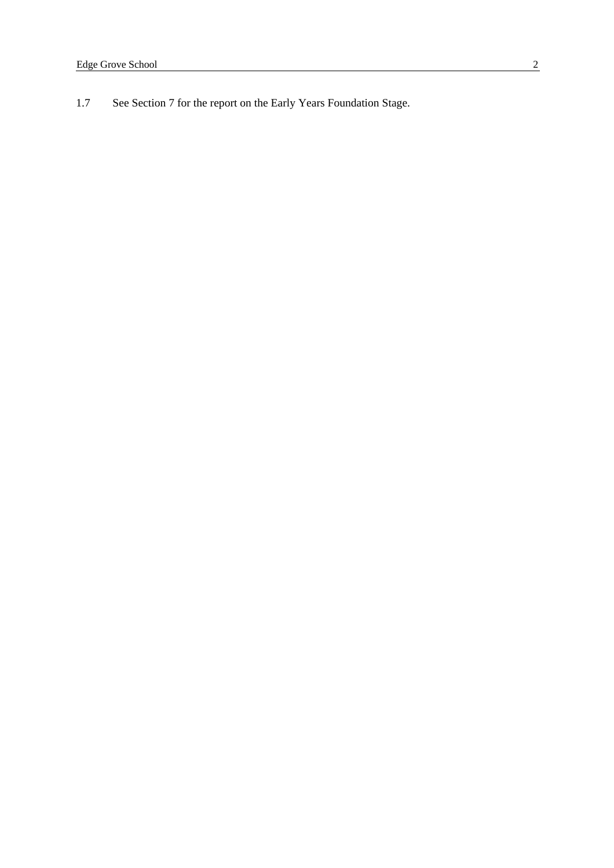1.7 See Section 7 for the report on the Early Years Foundation Stage.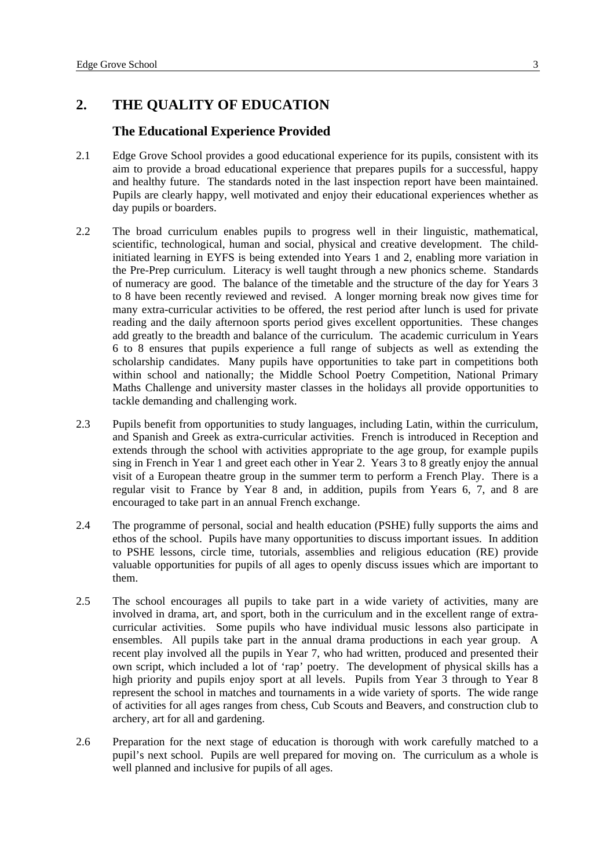# <span id="page-5-0"></span>**2. THE QUALITY OF EDUCATION**

#### **The Educational Experience Provided**

- 2.1 Edge Grove School provides a good educational experience for its pupils, consistent with its aim to provide a broad educational experience that prepares pupils for a successful, happy and healthy future. The standards noted in the last inspection report have been maintained. Pupils are clearly happy, well motivated and enjoy their educational experiences whether as day pupils or boarders.
- 2.2 The broad curriculum enables pupils to progress well in their linguistic, mathematical, scientific, technological, human and social, physical and creative development. The childinitiated learning in EYFS is being extended into Years 1 and 2, enabling more variation in the Pre-Prep curriculum. Literacy is well taught through a new phonics scheme. Standards of numeracy are good. The balance of the timetable and the structure of the day for Years 3 to 8 have been recently reviewed and revised. A longer morning break now gives time for many extra-curricular activities to be offered, the rest period after lunch is used for private reading and the daily afternoon sports period gives excellent opportunities. These changes add greatly to the breadth and balance of the curriculum. The academic curriculum in Years 6 to 8 ensures that pupils experience a full range of subjects as well as extending the scholarship candidates. Many pupils have opportunities to take part in competitions both within school and nationally; the Middle School Poetry Competition, National Primary Maths Challenge and university master classes in the holidays all provide opportunities to tackle demanding and challenging work.
- 2.3 Pupils benefit from opportunities to study languages, including Latin, within the curriculum, and Spanish and Greek as extra-curricular activities. French is introduced in Reception and extends through the school with activities appropriate to the age group, for example pupils sing in French in Year 1 and greet each other in Year 2. Years 3 to 8 greatly enjoy the annual visit of a European theatre group in the summer term to perform a French Play. There is a regular visit to France by Year 8 and, in addition, pupils from Years 6, 7, and 8 are encouraged to take part in an annual French exchange.
- 2.4 The programme of personal, social and health education (PSHE) fully supports the aims and ethos of the school. Pupils have many opportunities to discuss important issues. In addition to PSHE lessons, circle time, tutorials, assemblies and religious education (RE) provide valuable opportunities for pupils of all ages to openly discuss issues which are important to them.
- 2.5 The school encourages all pupils to take part in a wide variety of activities, many are involved in drama, art, and sport, both in the curriculum and in the excellent range of extracurricular activities. Some pupils who have individual music lessons also participate in ensembles. All pupils take part in the annual drama productions in each year group. A recent play involved all the pupils in Year 7, who had written, produced and presented their own script, which included a lot of 'rap' poetry. The development of physical skills has a high priority and pupils enjoy sport at all levels. Pupils from Year 3 through to Year 8 represent the school in matches and tournaments in a wide variety of sports. The wide range of activities for all ages ranges from chess, Cub Scouts and Beavers, and construction club to archery, art for all and gardening.
- 2.6 Preparation for the next stage of education is thorough with work carefully matched to a pupil's next school. Pupils are well prepared for moving on. The curriculum as a whole is well planned and inclusive for pupils of all ages.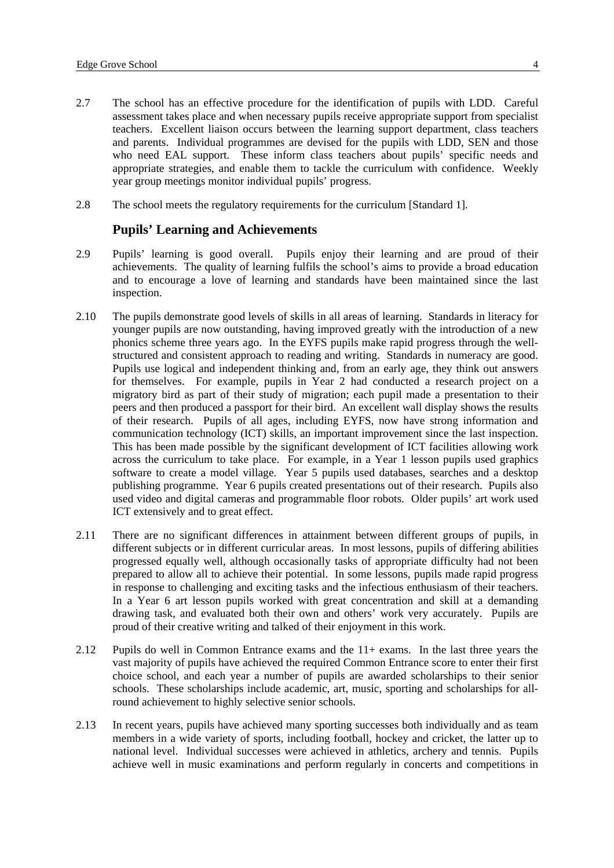- <span id="page-6-0"></span>2.7 The school has an effective procedure for the identification of pupils with LDD. Careful assessment takes place and when necessary pupils receive appropriate support from specialist teachers. Excellent liaison occurs between the learning support department, class teachers and parents. Individual programmes are devised for the pupils with LDD, SEN and those who need EAL support. These inform class teachers about pupils' specific needs and appropriate strategies, and enable them to tackle the curriculum with confidence. Weekly year group meetings monitor individual pupils' progress.
- 2.8 The school meets the regulatory requirements for the curriculum [Standard 1].

#### **Pupils' Learning and Achievements**

- 2.9 Pupils' learning is good overall. Pupils enjoy their learning and are proud of their achievements. The quality of learning fulfils the school's aims to provide a broad education and to encourage a love of learning and standards have been maintained since the last inspection.
- 2.10 The pupils demonstrate good levels of skills in all areas of learning. Standards in literacy for younger pupils are now outstanding, having improved greatly with the introduction of a new phonics scheme three years ago. In the EYFS pupils make rapid progress through the wellstructured and consistent approach to reading and writing. Standards in numeracy are good. Pupils use logical and independent thinking and, from an early age, they think out answers for themselves. For example, pupils in Year 2 had conducted a research project on a migratory bird as part of their study of migration; each pupil made a presentation to their peers and then produced a passport for their bird. An excellent wall display shows the results of their research. Pupils of all ages, including EYFS, now have strong information and communication technology (ICT) skills, an important improvement since the last inspection. This has been made possible by the significant development of ICT facilities allowing work across the curriculum to take place. For example, in a Year 1 lesson pupils used graphics software to create a model village. Year 5 pupils used databases, searches and a desktop publishing programme. Year 6 pupils created presentations out of their research. Pupils also used video and digital cameras and programmable floor robots. Older pupils' art work used ICT extensively and to great effect.
- 2.11 There are no significant differences in attainment between different groups of pupils, in different subjects or in different curricular areas. In most lessons, pupils of differing abilities progressed equally well, although occasionally tasks of appropriate difficulty had not been prepared to allow all to achieve their potential. In some lessons, pupils made rapid progress in response to challenging and exciting tasks and the infectious enthusiasm of their teachers. In a Year 6 art lesson pupils worked with great concentration and skill at a demanding drawing task, and evaluated both their own and others' work very accurately. Pupils are proud of their creative writing and talked of their enjoyment in this work.
- 2.12 Pupils do well in Common Entrance exams and the 11+ exams. In the last three years the vast majority of pupils have achieved the required Common Entrance score to enter their first choice school, and each year a number of pupils are awarded scholarships to their senior schools. These scholarships include academic, art, music, sporting and scholarships for allround achievement to highly selective senior schools.
- 2.13 In recent years, pupils have achieved many sporting successes both individually and as team members in a wide variety of sports, including football, hockey and cricket, the latter up to national level. Individual successes were achieved in athletics, archery and tennis. Pupils achieve well in music examinations and perform regularly in concerts and competitions in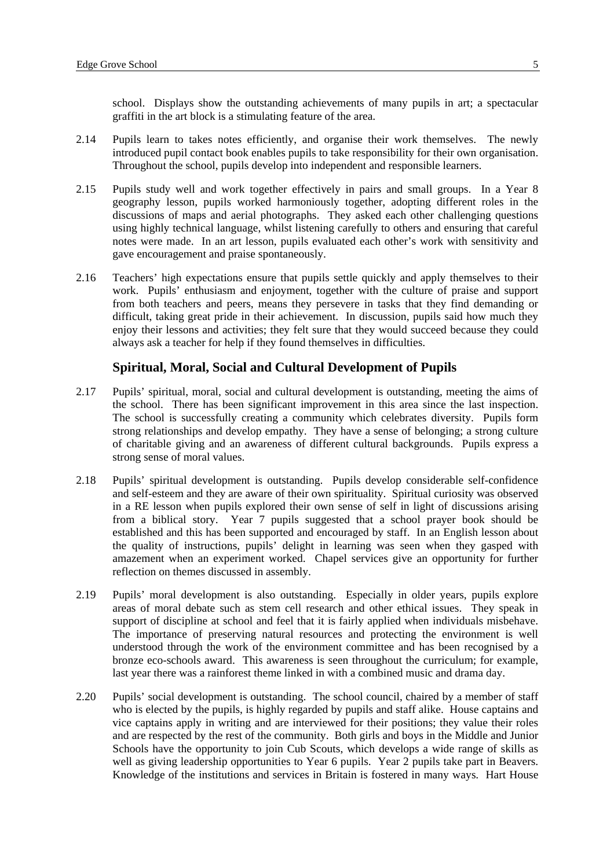<span id="page-7-0"></span>school. Displays show the outstanding achievements of many pupils in art; a spectacular graffiti in the art block is a stimulating feature of the area.

- 2.14 Pupils learn to takes notes efficiently, and organise their work themselves. The newly introduced pupil contact book enables pupils to take responsibility for their own organisation. Throughout the school, pupils develop into independent and responsible learners.
- 2.15 Pupils study well and work together effectively in pairs and small groups. In a Year 8 geography lesson, pupils worked harmoniously together, adopting different roles in the discussions of maps and aerial photographs. They asked each other challenging questions using highly technical language, whilst listening carefully to others and ensuring that careful notes were made. In an art lesson, pupils evaluated each other's work with sensitivity and gave encouragement and praise spontaneously.
- 2.16 Teachers' high expectations ensure that pupils settle quickly and apply themselves to their work. Pupils' enthusiasm and enjoyment, together with the culture of praise and support from both teachers and peers, means they persevere in tasks that they find demanding or difficult, taking great pride in their achievement. In discussion, pupils said how much they enjoy their lessons and activities; they felt sure that they would succeed because they could always ask a teacher for help if they found themselves in difficulties.

## **Spiritual, Moral, Social and Cultural Development of Pupils**

- 2.17 Pupils' spiritual, moral, social and cultural development is outstanding, meeting the aims of the school. There has been significant improvement in this area since the last inspection. The school is successfully creating a community which celebrates diversity. Pupils form strong relationships and develop empathy. They have a sense of belonging; a strong culture of charitable giving and an awareness of different cultural backgrounds. Pupils express a strong sense of moral values.
- 2.18 Pupils' spiritual development is outstanding. Pupils develop considerable self-confidence and self-esteem and they are aware of their own spirituality. Spiritual curiosity was observed in a RE lesson when pupils explored their own sense of self in light of discussions arising from a biblical story. Year 7 pupils suggested that a school prayer book should be established and this has been supported and encouraged by staff. In an English lesson about the quality of instructions, pupils' delight in learning was seen when they gasped with amazement when an experiment worked. Chapel services give an opportunity for further reflection on themes discussed in assembly.
- 2.19 Pupils' moral development is also outstanding. Especially in older years, pupils explore areas of moral debate such as stem cell research and other ethical issues. They speak in support of discipline at school and feel that it is fairly applied when individuals misbehave. The importance of preserving natural resources and protecting the environment is well understood through the work of the environment committee and has been recognised by a bronze eco-schools award. This awareness is seen throughout the curriculum; for example, last year there was a rainforest theme linked in with a combined music and drama day.
- 2.20 Pupils' social development is outstanding. The school council, chaired by a member of staff who is elected by the pupils, is highly regarded by pupils and staff alike. House captains and vice captains apply in writing and are interviewed for their positions; they value their roles and are respected by the rest of the community. Both girls and boys in the Middle and Junior Schools have the opportunity to join Cub Scouts, which develops a wide range of skills as well as giving leadership opportunities to Year 6 pupils. Year 2 pupils take part in Beavers. Knowledge of the institutions and services in Britain is fostered in many ways. Hart House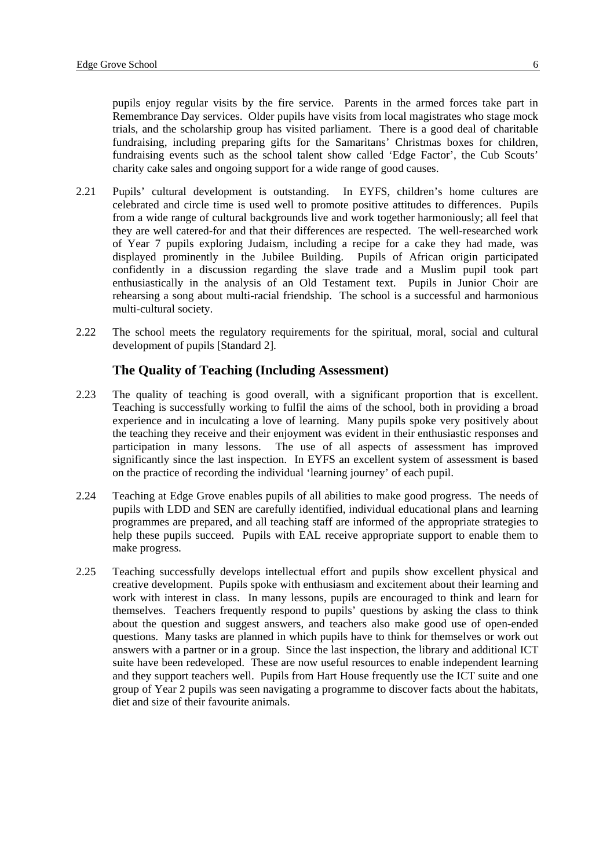<span id="page-8-0"></span>pupils enjoy regular visits by the fire service. Parents in the armed forces take part in Remembrance Day services. Older pupils have visits from local magistrates who stage mock trials, and the scholarship group has visited parliament. There is a good deal of charitable fundraising, including preparing gifts for the Samaritans' Christmas boxes for children, fundraising events such as the school talent show called 'Edge Factor', the Cub Scouts' charity cake sales and ongoing support for a wide range of good causes.

- 2.21 Pupils' cultural development is outstanding. In EYFS, children's home cultures are celebrated and circle time is used well to promote positive attitudes to differences. Pupils from a wide range of cultural backgrounds live and work together harmoniously; all feel that they are well catered-for and that their differences are respected. The well-researched work of Year 7 pupils exploring Judaism, including a recipe for a cake they had made, was displayed prominently in the Jubilee Building. Pupils of African origin participated confidently in a discussion regarding the slave trade and a Muslim pupil took part enthusiastically in the analysis of an Old Testament text. Pupils in Junior Choir are rehearsing a song about multi-racial friendship. The school is a successful and harmonious multi-cultural society.
- 2.22 The school meets the regulatory requirements for the spiritual, moral, social and cultural development of pupils [Standard 2].

# **The Quality of Teaching (Including Assessment)**

- 2.23 The quality of teaching is good overall, with a significant proportion that is excellent. Teaching is successfully working to fulfil the aims of the school, both in providing a broad experience and in inculcating a love of learning. Many pupils spoke very positively about the teaching they receive and their enjoyment was evident in their enthusiastic responses and participation in many lessons. The use of all aspects of assessment has improved significantly since the last inspection. In EYFS an excellent system of assessment is based on the practice of recording the individual 'learning journey' of each pupil.
- 2.24 Teaching at Edge Grove enables pupils of all abilities to make good progress. The needs of pupils with LDD and SEN are carefully identified, individual educational plans and learning programmes are prepared, and all teaching staff are informed of the appropriate strategies to help these pupils succeed. Pupils with EAL receive appropriate support to enable them to make progress.
- 2.25 Teaching successfully develops intellectual effort and pupils show excellent physical and creative development. Pupils spoke with enthusiasm and excitement about their learning and work with interest in class. In many lessons, pupils are encouraged to think and learn for themselves. Teachers frequently respond to pupils' questions by asking the class to think about the question and suggest answers, and teachers also make good use of open-ended questions. Many tasks are planned in which pupils have to think for themselves or work out answers with a partner or in a group. Since the last inspection, the library and additional ICT suite have been redeveloped. These are now useful resources to enable independent learning and they support teachers well. Pupils from Hart House frequently use the ICT suite and one group of Year 2 pupils was seen navigating a programme to discover facts about the habitats, diet and size of their favourite animals.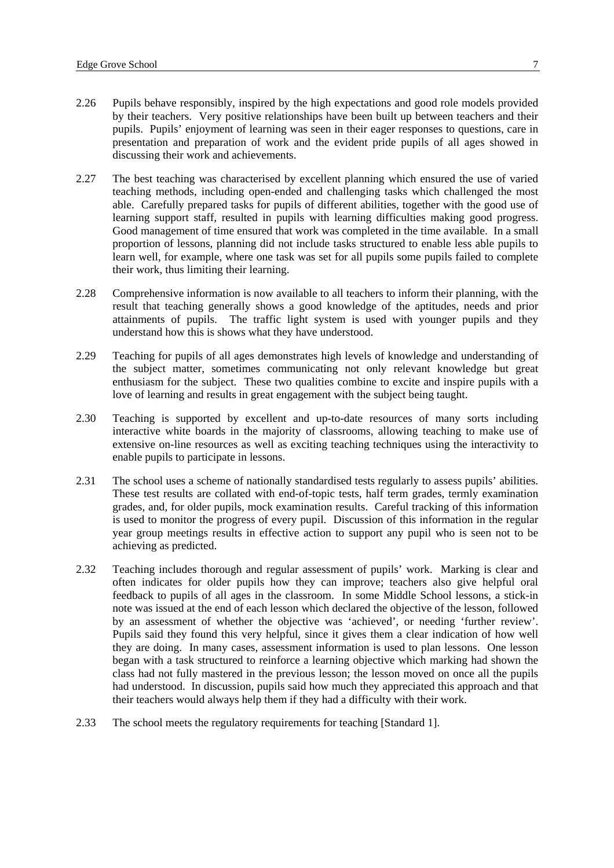- 2.26 Pupils behave responsibly, inspired by the high expectations and good role models provided by their teachers. Very positive relationships have been built up between teachers and their pupils. Pupils' enjoyment of learning was seen in their eager responses to questions, care in presentation and preparation of work and the evident pride pupils of all ages showed in discussing their work and achievements.
- 2.27 The best teaching was characterised by excellent planning which ensured the use of varied teaching methods, including open-ended and challenging tasks which challenged the most able. Carefully prepared tasks for pupils of different abilities, together with the good use of learning support staff, resulted in pupils with learning difficulties making good progress. Good management of time ensured that work was completed in the time available. In a small proportion of lessons, planning did not include tasks structured to enable less able pupils to learn well, for example, where one task was set for all pupils some pupils failed to complete their work, thus limiting their learning.
- 2.28 Comprehensive information is now available to all teachers to inform their planning, with the result that teaching generally shows a good knowledge of the aptitudes, needs and prior attainments of pupils. The traffic light system is used with younger pupils and they understand how this is shows what they have understood.
- 2.29 Teaching for pupils of all ages demonstrates high levels of knowledge and understanding of the subject matter, sometimes communicating not only relevant knowledge but great enthusiasm for the subject. These two qualities combine to excite and inspire pupils with a love of learning and results in great engagement with the subject being taught.
- 2.30 Teaching is supported by excellent and up-to-date resources of many sorts including interactive white boards in the majority of classrooms, allowing teaching to make use of extensive on-line resources as well as exciting teaching techniques using the interactivity to enable pupils to participate in lessons.
- 2.31 The school uses a scheme of nationally standardised tests regularly to assess pupils' abilities. These test results are collated with end-of-topic tests, half term grades, termly examination grades, and, for older pupils, mock examination results. Careful tracking of this information is used to monitor the progress of every pupil. Discussion of this information in the regular year group meetings results in effective action to support any pupil who is seen not to be achieving as predicted.
- 2.32 Teaching includes thorough and regular assessment of pupils' work. Marking is clear and often indicates for older pupils how they can improve; teachers also give helpful oral feedback to pupils of all ages in the classroom. In some Middle School lessons, a stick-in note was issued at the end of each lesson which declared the objective of the lesson, followed by an assessment of whether the objective was 'achieved', or needing 'further review'. Pupils said they found this very helpful, since it gives them a clear indication of how well they are doing. In many cases, assessment information is used to plan lessons. One lesson began with a task structured to reinforce a learning objective which marking had shown the class had not fully mastered in the previous lesson; the lesson moved on once all the pupils had understood. In discussion, pupils said how much they appreciated this approach and that their teachers would always help them if they had a difficulty with their work.
- 2.33 The school meets the regulatory requirements for teaching [Standard 1].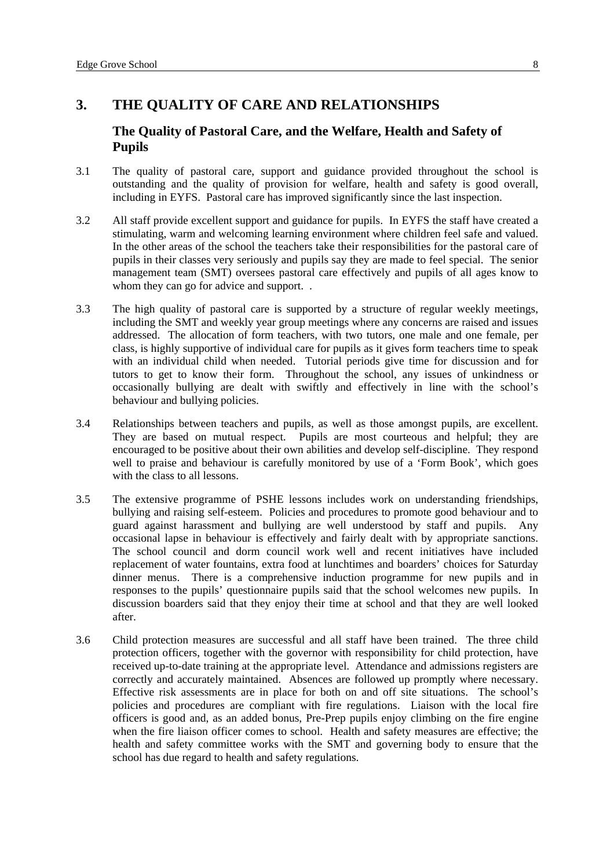# <span id="page-10-0"></span>**3. THE QUALITY OF CARE AND RELATIONSHIPS**

## **The Quality of Pastoral Care, and the Welfare, Health and Safety of Pupils**

- 3.1 The quality of pastoral care, support and guidance provided throughout the school is outstanding and the quality of provision for welfare, health and safety is good overall, including in EYFS. Pastoral care has improved significantly since the last inspection.
- 3.2 All staff provide excellent support and guidance for pupils. In EYFS the staff have created a stimulating, warm and welcoming learning environment where children feel safe and valued. In the other areas of the school the teachers take their responsibilities for the pastoral care of pupils in their classes very seriously and pupils say they are made to feel special. The senior management team (SMT) oversees pastoral care effectively and pupils of all ages know to whom they can go for advice and support...
- 3.3 The high quality of pastoral care is supported by a structure of regular weekly meetings, including the SMT and weekly year group meetings where any concerns are raised and issues addressed. The allocation of form teachers, with two tutors, one male and one female, per class, is highly supportive of individual care for pupils as it gives form teachers time to speak with an individual child when needed. Tutorial periods give time for discussion and for tutors to get to know their form. Throughout the school, any issues of unkindness or occasionally bullying are dealt with swiftly and effectively in line with the school's behaviour and bullying policies.
- 3.4 Relationships between teachers and pupils, as well as those amongst pupils, are excellent. They are based on mutual respect. Pupils are most courteous and helpful; they are encouraged to be positive about their own abilities and develop self-discipline. They respond well to praise and behaviour is carefully monitored by use of a 'Form Book', which goes with the class to all lessons.
- 3.5 The extensive programme of PSHE lessons includes work on understanding friendships, bullying and raising self-esteem. Policies and procedures to promote good behaviour and to guard against harassment and bullying are well understood by staff and pupils. Any occasional lapse in behaviour is effectively and fairly dealt with by appropriate sanctions. The school council and dorm council work well and recent initiatives have included replacement of water fountains, extra food at lunchtimes and boarders' choices for Saturday dinner menus. There is a comprehensive induction programme for new pupils and in responses to the pupils' questionnaire pupils said that the school welcomes new pupils. In discussion boarders said that they enjoy their time at school and that they are well looked after.
- 3.6 Child protection measures are successful and all staff have been trained. The three child protection officers, together with the governor with responsibility for child protection, have received up-to-date training at the appropriate level. Attendance and admissions registers are correctly and accurately maintained. Absences are followed up promptly where necessary. Effective risk assessments are in place for both on and off site situations. The school's policies and procedures are compliant with fire regulations. Liaison with the local fire officers is good and, as an added bonus, Pre-Prep pupils enjoy climbing on the fire engine when the fire liaison officer comes to school. Health and safety measures are effective; the health and safety committee works with the SMT and governing body to ensure that the school has due regard to health and safety regulations.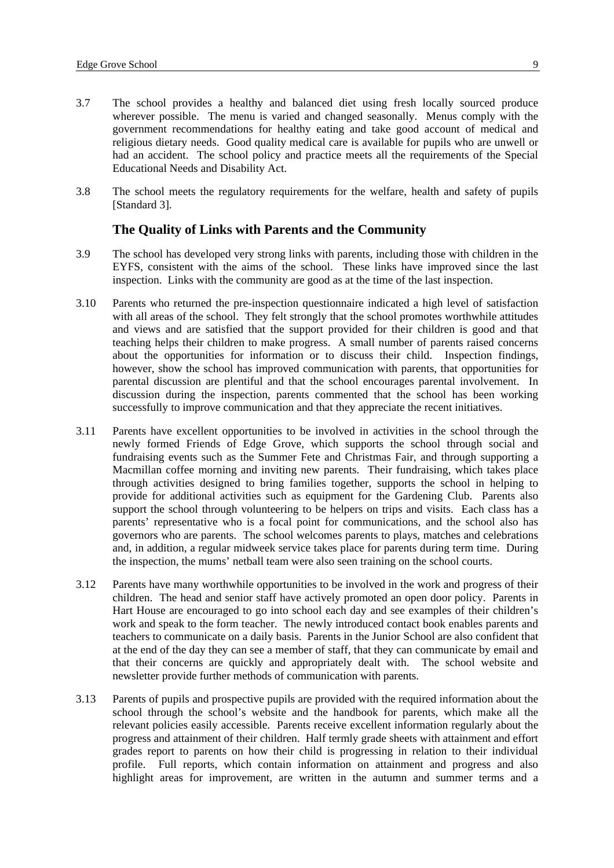- <span id="page-11-0"></span>3.7 The school provides a healthy and balanced diet using fresh locally sourced produce wherever possible. The menu is varied and changed seasonally. Menus comply with the government recommendations for healthy eating and take good account of medical and religious dietary needs. Good quality medical care is available for pupils who are unwell or had an accident. The school policy and practice meets all the requirements of the Special Educational Needs and Disability Act.
- 3.8 The school meets the regulatory requirements for the welfare, health and safety of pupils [Standard 3].

#### **The Quality of Links with Parents and the Community**

- 3.9 The school has developed very strong links with parents, including those with children in the EYFS, consistent with the aims of the school. These links have improved since the last inspection. Links with the community are good as at the time of the last inspection.
- 3.10 Parents who returned the pre-inspection questionnaire indicated a high level of satisfaction with all areas of the school. They felt strongly that the school promotes worthwhile attitudes and views and are satisfied that the support provided for their children is good and that teaching helps their children to make progress. A small number of parents raised concerns about the opportunities for information or to discuss their child. Inspection findings, however, show the school has improved communication with parents, that opportunities for parental discussion are plentiful and that the school encourages parental involvement. In discussion during the inspection, parents commented that the school has been working successfully to improve communication and that they appreciate the recent initiatives.
- 3.11 Parents have excellent opportunities to be involved in activities in the school through the newly formed Friends of Edge Grove, which supports the school through social and fundraising events such as the Summer Fete and Christmas Fair, and through supporting a Macmillan coffee morning and inviting new parents. Their fundraising, which takes place through activities designed to bring families together, supports the school in helping to provide for additional activities such as equipment for the Gardening Club. Parents also support the school through volunteering to be helpers on trips and visits. Each class has a parents' representative who is a focal point for communications, and the school also has governors who are parents. The school welcomes parents to plays, matches and celebrations and, in addition, a regular midweek service takes place for parents during term time. During the inspection, the mums' netball team were also seen training on the school courts.
- 3.12 Parents have many worthwhile opportunities to be involved in the work and progress of their children. The head and senior staff have actively promoted an open door policy. Parents in Hart House are encouraged to go into school each day and see examples of their children's work and speak to the form teacher. The newly introduced contact book enables parents and teachers to communicate on a daily basis. Parents in the Junior School are also confident that at the end of the day they can see a member of staff, that they can communicate by email and that their concerns are quickly and appropriately dealt with. The school website and newsletter provide further methods of communication with parents.
- 3.13 Parents of pupils and prospective pupils are provided with the required information about the school through the school's website and the handbook for parents, which make all the relevant policies easily accessible. Parents receive excellent information regularly about the progress and attainment of their children. Half termly grade sheets with attainment and effort grades report to parents on how their child is progressing in relation to their individual profile. Full reports, which contain information on attainment and progress and also highlight areas for improvement, are written in the autumn and summer terms and a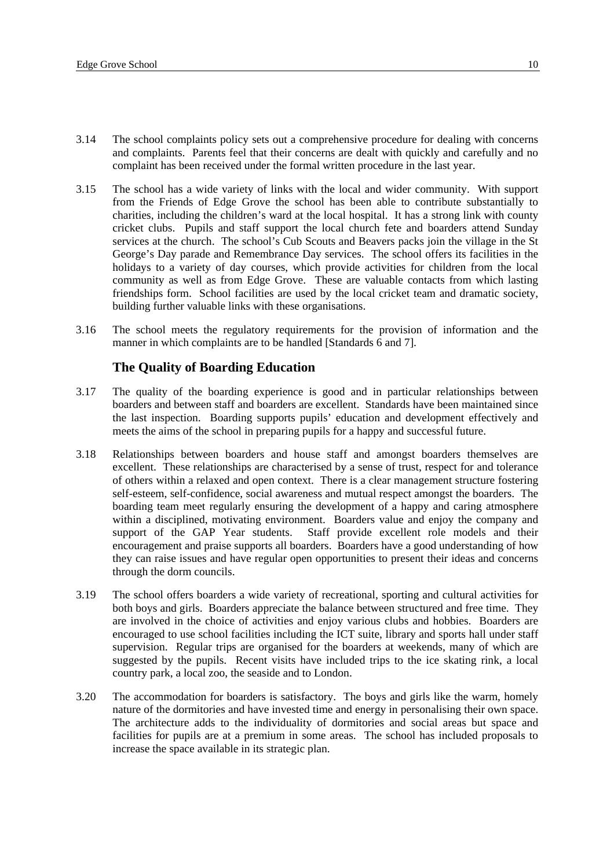- <span id="page-12-0"></span>3.14 The school complaints policy sets out a comprehensive procedure for dealing with concerns and complaints. Parents feel that their concerns are dealt with quickly and carefully and no complaint has been received under the formal written procedure in the last year.
- 3.15 The school has a wide variety of links with the local and wider community. With support from the Friends of Edge Grove the school has been able to contribute substantially to charities, including the children's ward at the local hospital. It has a strong link with county cricket clubs. Pupils and staff support the local church fete and boarders attend Sunday services at the church. The school's Cub Scouts and Beavers packs join the village in the St George's Day parade and Remembrance Day services. The school offers its facilities in the holidays to a variety of day courses, which provide activities for children from the local community as well as from Edge Grove. These are valuable contacts from which lasting friendships form. School facilities are used by the local cricket team and dramatic society, building further valuable links with these organisations.
- 3.16 The school meets the regulatory requirements for the provision of information and the manner in which complaints are to be handled [Standards 6 and 7].

## **The Quality of Boarding Education**

- 3.17 The quality of the boarding experience is good and in particular relationships between boarders and between staff and boarders are excellent. Standards have been maintained since the last inspection. Boarding supports pupils' education and development effectively and meets the aims of the school in preparing pupils for a happy and successful future.
- 3.18 Relationships between boarders and house staff and amongst boarders themselves are excellent. These relationships are characterised by a sense of trust, respect for and tolerance of others within a relaxed and open context. There is a clear management structure fostering self-esteem, self-confidence, social awareness and mutual respect amongst the boarders. The boarding team meet regularly ensuring the development of a happy and caring atmosphere within a disciplined, motivating environment. Boarders value and enjoy the company and support of the GAP Year students. Staff provide excellent role models and their encouragement and praise supports all boarders. Boarders have a good understanding of how they can raise issues and have regular open opportunities to present their ideas and concerns through the dorm councils.
- 3.19 The school offers boarders a wide variety of recreational, sporting and cultural activities for both boys and girls. Boarders appreciate the balance between structured and free time. They are involved in the choice of activities and enjoy various clubs and hobbies. Boarders are encouraged to use school facilities including the ICT suite, library and sports hall under staff supervision. Regular trips are organised for the boarders at weekends, many of which are suggested by the pupils. Recent visits have included trips to the ice skating rink, a local country park, a local zoo, the seaside and to London.
- 3.20 The accommodation for boarders is satisfactory. The boys and girls like the warm, homely nature of the dormitories and have invested time and energy in personalising their own space. The architecture adds to the individuality of dormitories and social areas but space and facilities for pupils are at a premium in some areas. The school has included proposals to increase the space available in its strategic plan.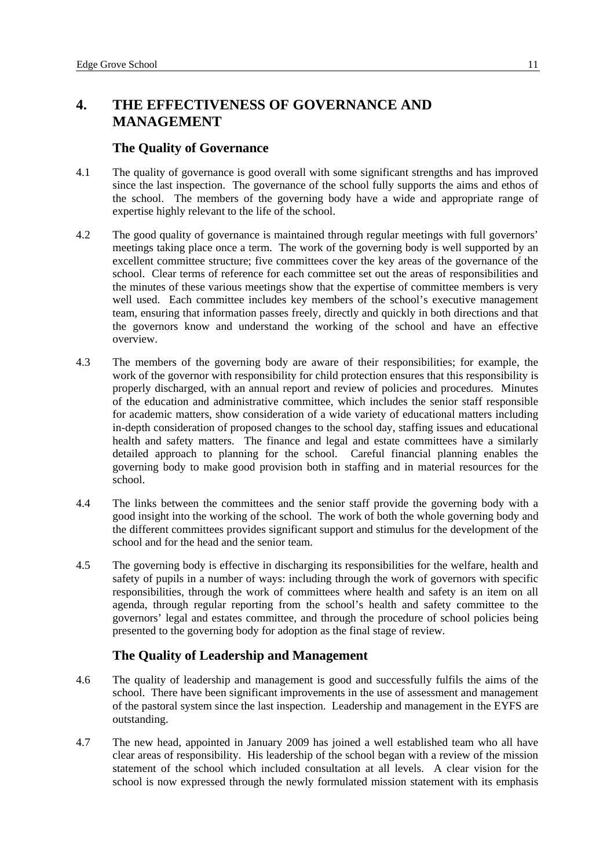# <span id="page-13-0"></span>**4. THE EFFECTIVENESS OF GOVERNANCE AND MANAGEMENT**

## **The Quality of Governance**

- 4.1 The quality of governance is good overall with some significant strengths and has improved since the last inspection. The governance of the school fully supports the aims and ethos of the school. The members of the governing body have a wide and appropriate range of expertise highly relevant to the life of the school.
- 4.2 The good quality of governance is maintained through regular meetings with full governors' meetings taking place once a term. The work of the governing body is well supported by an excellent committee structure; five committees cover the key areas of the governance of the school. Clear terms of reference for each committee set out the areas of responsibilities and the minutes of these various meetings show that the expertise of committee members is very well used. Each committee includes key members of the school's executive management team, ensuring that information passes freely, directly and quickly in both directions and that the governors know and understand the working of the school and have an effective overview.
- 4.3 The members of the governing body are aware of their responsibilities; for example, the work of the governor with responsibility for child protection ensures that this responsibility is properly discharged, with an annual report and review of policies and procedures. Minutes of the education and administrative committee, which includes the senior staff responsible for academic matters, show consideration of a wide variety of educational matters including in-depth consideration of proposed changes to the school day, staffing issues and educational health and safety matters. The finance and legal and estate committees have a similarly detailed approach to planning for the school. Careful financial planning enables the governing body to make good provision both in staffing and in material resources for the school.
- 4.4 The links between the committees and the senior staff provide the governing body with a good insight into the working of the school. The work of both the whole governing body and the different committees provides significant support and stimulus for the development of the school and for the head and the senior team.
- 4.5 The governing body is effective in discharging its responsibilities for the welfare, health and safety of pupils in a number of ways: including through the work of governors with specific responsibilities, through the work of committees where health and safety is an item on all agenda, through regular reporting from the school's health and safety committee to the governors' legal and estates committee, and through the procedure of school policies being presented to the governing body for adoption as the final stage of review.

# **The Quality of Leadership and Management**

- 4.6 The quality of leadership and management is good and successfully fulfils the aims of the school. There have been significant improvements in the use of assessment and management of the pastoral system since the last inspection. Leadership and management in the EYFS are outstanding.
- 4.7 The new head, appointed in January 2009 has joined a well established team who all have clear areas of responsibility. His leadership of the school began with a review of the mission statement of the school which included consultation at all levels. A clear vision for the school is now expressed through the newly formulated mission statement with its emphasis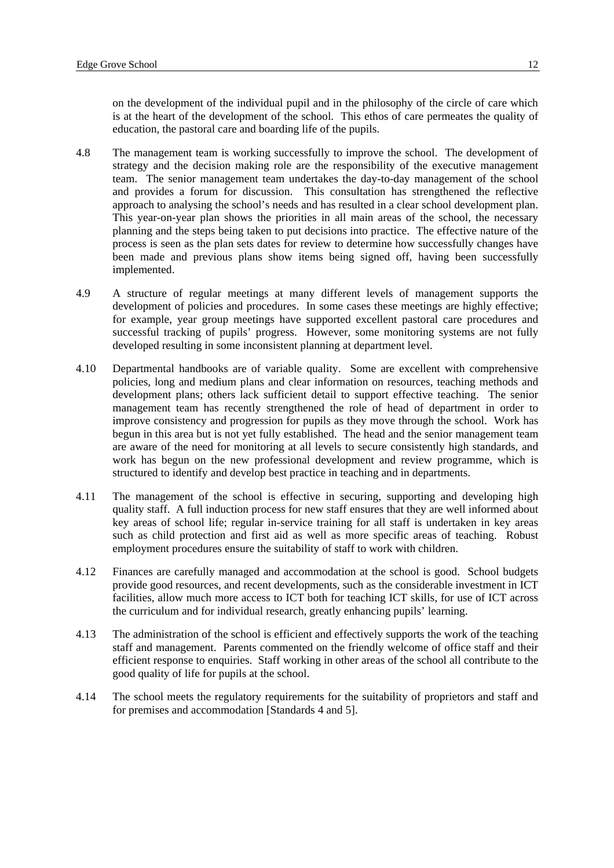on the development of the individual pupil and in the philosophy of the circle of care which is at the heart of the development of the school. This ethos of care permeates the quality of education, the pastoral care and boarding life of the pupils.

- 4.8 The management team is working successfully to improve the school. The development of strategy and the decision making role are the responsibility of the executive management team. The senior management team undertakes the day-to-day management of the school and provides a forum for discussion. This consultation has strengthened the reflective approach to analysing the school's needs and has resulted in a clear school development plan. This year-on-year plan shows the priorities in all main areas of the school, the necessary planning and the steps being taken to put decisions into practice. The effective nature of the process is seen as the plan sets dates for review to determine how successfully changes have been made and previous plans show items being signed off, having been successfully implemented.
- 4.9 A structure of regular meetings at many different levels of management supports the development of policies and procedures. In some cases these meetings are highly effective; for example, year group meetings have supported excellent pastoral care procedures and successful tracking of pupils' progress. However, some monitoring systems are not fully developed resulting in some inconsistent planning at department level.
- 4.10 Departmental handbooks are of variable quality. Some are excellent with comprehensive policies, long and medium plans and clear information on resources, teaching methods and development plans; others lack sufficient detail to support effective teaching. The senior management team has recently strengthened the role of head of department in order to improve consistency and progression for pupils as they move through the school. Work has begun in this area but is not yet fully established. The head and the senior management team are aware of the need for monitoring at all levels to secure consistently high standards, and work has begun on the new professional development and review programme, which is structured to identify and develop best practice in teaching and in departments.
- 4.11 The management of the school is effective in securing, supporting and developing high quality staff. A full induction process for new staff ensures that they are well informed about key areas of school life; regular in-service training for all staff is undertaken in key areas such as child protection and first aid as well as more specific areas of teaching. Robust employment procedures ensure the suitability of staff to work with children.
- 4.12 Finances are carefully managed and accommodation at the school is good. School budgets provide good resources, and recent developments, such as the considerable investment in ICT facilities, allow much more access to ICT both for teaching ICT skills, for use of ICT across the curriculum and for individual research, greatly enhancing pupils' learning.
- 4.13 The administration of the school is efficient and effectively supports the work of the teaching staff and management. Parents commented on the friendly welcome of office staff and their efficient response to enquiries. Staff working in other areas of the school all contribute to the good quality of life for pupils at the school.
- 4.14 The school meets the regulatory requirements for the suitability of proprietors and staff and for premises and accommodation [Standards 4 and 5].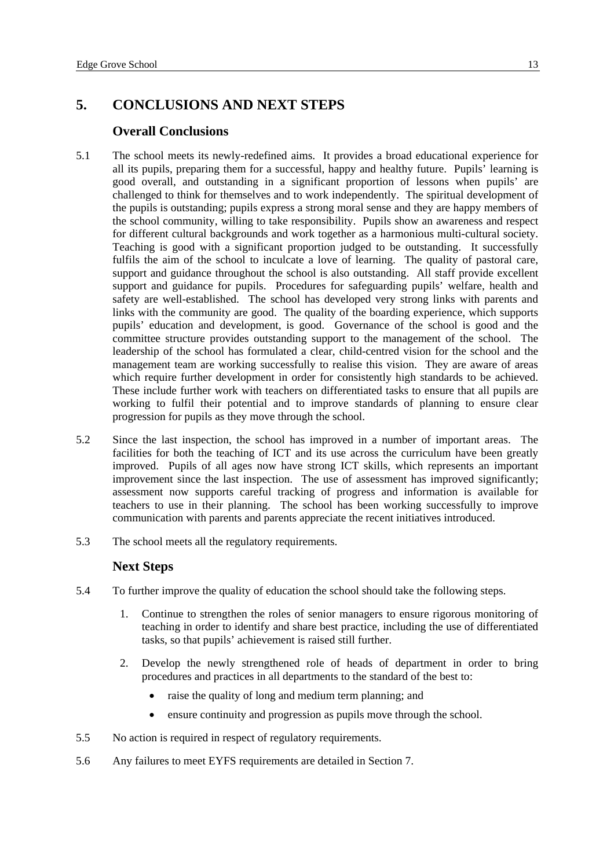# <span id="page-15-0"></span>**5. CONCLUSIONS AND NEXT STEPS**

#### **Overall Conclusions**

- 5.1 The school meets its newly-redefined aims. It provides a broad educational experience for all its pupils, preparing them for a successful, happy and healthy future. Pupils' learning is good overall, and outstanding in a significant proportion of lessons when pupils' are challenged to think for themselves and to work independently. The spiritual development of the pupils is outstanding; pupils express a strong moral sense and they are happy members of the school community, willing to take responsibility. Pupils show an awareness and respect for different cultural backgrounds and work together as a harmonious multi-cultural society. Teaching is good with a significant proportion judged to be outstanding. It successfully fulfils the aim of the school to inculcate a love of learning. The quality of pastoral care, support and guidance throughout the school is also outstanding. All staff provide excellent support and guidance for pupils. Procedures for safeguarding pupils' welfare, health and safety are well-established. The school has developed very strong links with parents and links with the community are good. The quality of the boarding experience, which supports pupils' education and development, is good. Governance of the school is good and the committee structure provides outstanding support to the management of the school. The leadership of the school has formulated a clear, child-centred vision for the school and the management team are working successfully to realise this vision. They are aware of areas which require further development in order for consistently high standards to be achieved. These include further work with teachers on differentiated tasks to ensure that all pupils are working to fulfil their potential and to improve standards of planning to ensure clear progression for pupils as they move through the school.
- 5.2 Since the last inspection, the school has improved in a number of important areas. The facilities for both the teaching of ICT and its use across the curriculum have been greatly improved. Pupils of all ages now have strong ICT skills, which represents an important improvement since the last inspection. The use of assessment has improved significantly; assessment now supports careful tracking of progress and information is available for teachers to use in their planning. The school has been working successfully to improve communication with parents and parents appreciate the recent initiatives introduced.
- 5.3 The school meets all the regulatory requirements.

## **Next Steps**

- 5.4 To further improve the quality of education the school should take the following steps.
	- 1. Continue to strengthen the roles of senior managers to ensure rigorous monitoring of teaching in order to identify and share best practice, including the use of differentiated tasks, so that pupils' achievement is raised still further.
	- 2. Develop the newly strengthened role of heads of department in order to bring procedures and practices in all departments to the standard of the best to:
		- raise the quality of long and medium term planning; and
		- ensure continuity and progression as pupils move through the school.
- 5.5 No action is required in respect of regulatory requirements.
- 5.6 Any failures to meet EYFS requirements are detailed in Section 7.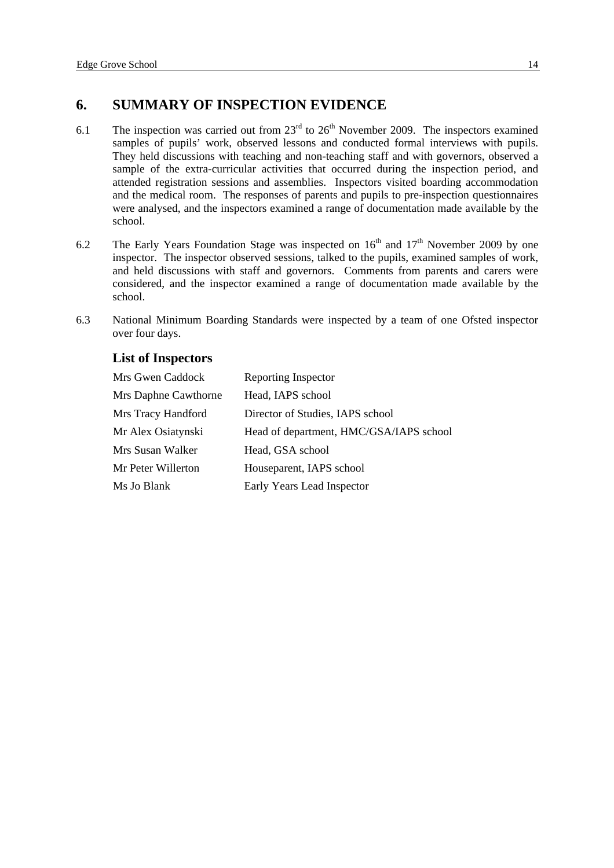# <span id="page-16-0"></span>**6. SUMMARY OF INSPECTION EVIDENCE**

- 6.1 The inspection was carried out from  $23<sup>rd</sup>$  to  $26<sup>th</sup>$  November 2009. The inspectors examined samples of pupils' work, observed lessons and conducted formal interviews with pupils. They held discussions with teaching and non-teaching staff and with governors, observed a sample of the extra-curricular activities that occurred during the inspection period, and attended registration sessions and assemblies. Inspectors visited boarding accommodation and the medical room. The responses of parents and pupils to pre-inspection questionnaires were analysed, and the inspectors examined a range of documentation made available by the school.
- 6.2 The Early Years Foundation Stage was inspected on  $16<sup>th</sup>$  and  $17<sup>th</sup>$  November 2009 by one inspector. The inspector observed sessions, talked to the pupils, examined samples of work, and held discussions with staff and governors. Comments from parents and carers were considered, and the inspector examined a range of documentation made available by the school.
- 6.3 National Minimum Boarding Standards were inspected by a team of one Ofsted inspector over four days.

## **List of Inspectors**

| Mrs Gwen Caddock     | Reporting Inspector                     |
|----------------------|-----------------------------------------|
| Mrs Daphne Cawthorne | Head, IAPS school                       |
| Mrs Tracy Handford   | Director of Studies, IAPS school        |
| Mr Alex Osiatynski   | Head of department, HMC/GSA/IAPS school |
| Mrs Susan Walker     | Head, GSA school                        |
| Mr Peter Willerton   | Houseparent, IAPS school                |
| Ms Jo Blank          | Early Years Lead Inspector              |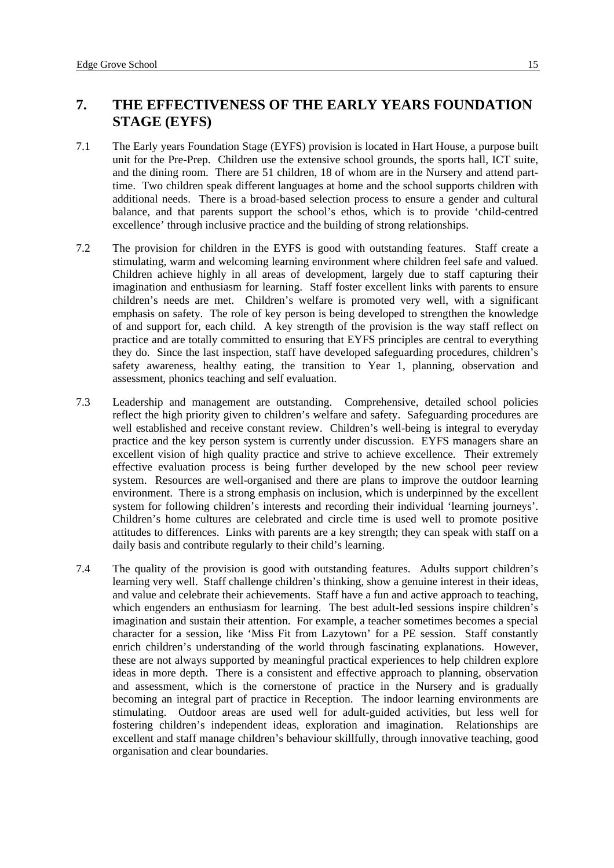# <span id="page-17-0"></span>**7. THE EFFECTIVENESS OF THE EARLY YEARS FOUNDATION STAGE (EYFS)**

- 7.1 The Early years Foundation Stage (EYFS) provision is located in Hart House, a purpose built unit for the Pre-Prep. Children use the extensive school grounds, the sports hall, ICT suite, and the dining room. There are 51 children, 18 of whom are in the Nursery and attend parttime. Two children speak different languages at home and the school supports children with additional needs. There is a broad-based selection process to ensure a gender and cultural balance, and that parents support the school's ethos, which is to provide 'child-centred excellence' through inclusive practice and the building of strong relationships.
- 7.2 The provision for children in the EYFS is good with outstanding features. Staff create a stimulating, warm and welcoming learning environment where children feel safe and valued. Children achieve highly in all areas of development, largely due to staff capturing their imagination and enthusiasm for learning. Staff foster excellent links with parents to ensure children's needs are met. Children's welfare is promoted very well, with a significant emphasis on safety. The role of key person is being developed to strengthen the knowledge of and support for, each child. A key strength of the provision is the way staff reflect on practice and are totally committed to ensuring that EYFS principles are central to everything they do. Since the last inspection, staff have developed safeguarding procedures, children's safety awareness, healthy eating, the transition to Year 1, planning, observation and assessment, phonics teaching and self evaluation.
- 7.3 Leadership and management are outstanding. Comprehensive, detailed school policies reflect the high priority given to children's welfare and safety. Safeguarding procedures are well established and receive constant review. Children's well-being is integral to everyday practice and the key person system is currently under discussion. EYFS managers share an excellent vision of high quality practice and strive to achieve excellence. Their extremely effective evaluation process is being further developed by the new school peer review system. Resources are well-organised and there are plans to improve the outdoor learning environment. There is a strong emphasis on inclusion, which is underpinned by the excellent system for following children's interests and recording their individual 'learning journeys'. Children's home cultures are celebrated and circle time is used well to promote positive attitudes to differences. Links with parents are a key strength; they can speak with staff on a daily basis and contribute regularly to their child's learning.
- 7.4 The quality of the provision is good with outstanding features. Adults support children's learning very well. Staff challenge children's thinking, show a genuine interest in their ideas, and value and celebrate their achievements. Staff have a fun and active approach to teaching, which engenders an enthusiasm for learning. The best adult-led sessions inspire children's imagination and sustain their attention. For example, a teacher sometimes becomes a special character for a session, like 'Miss Fit from Lazytown' for a PE session. Staff constantly enrich children's understanding of the world through fascinating explanations. However, these are not always supported by meaningful practical experiences to help children explore ideas in more depth. There is a consistent and effective approach to planning, observation and assessment, which is the cornerstone of practice in the Nursery and is gradually becoming an integral part of practice in Reception. The indoor learning environments are stimulating. Outdoor areas are used well for adult-guided activities, but less well for fostering children's independent ideas, exploration and imagination. Relationships are excellent and staff manage children's behaviour skillfully, through innovative teaching, good organisation and clear boundaries.